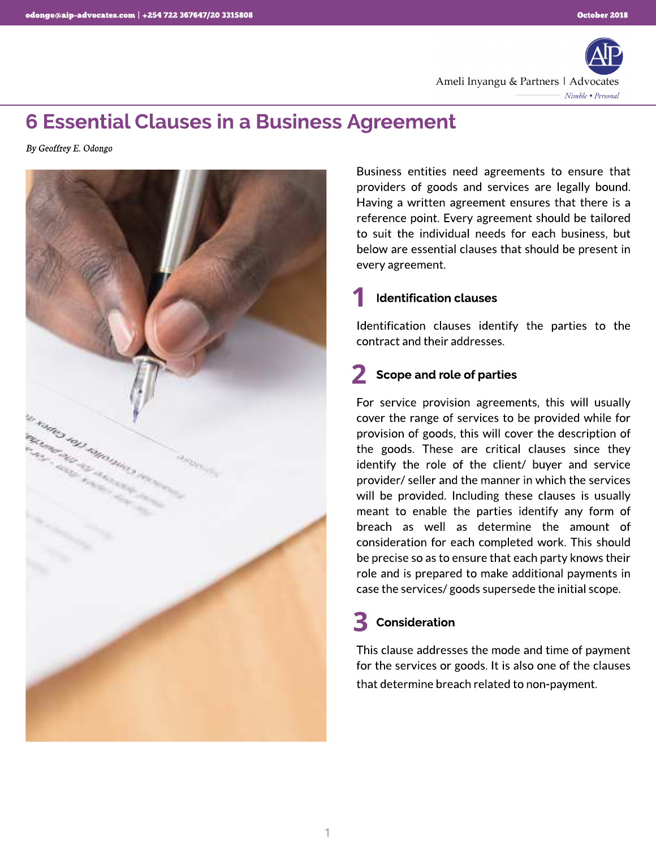

### 6 Essential Clauses in a Business Agreement

**By Geoffrey E. Odongo**



Business entities need agreements to ensure that providers of goods and services are legally bound. Having a written agreement ensures that there is a reference point. Every agreement should be tailored to suit the individual needs for each business, but below are essential clauses that should be present in every agreement.

#### Identification clauses 1

Identification clauses identify the parties to the contract and their addresses.

# 2 Scope and role of parties

For service provision agreements, this will usually cover the range of services to be provided while for provision of goods, this will cover the description of the goods. These are critical clauses since they identify the role of the client/ buyer and service provider/ seller and the manner in which the services will be provided. Including these clauses is usually meant to enable the parties identify any form of breach as well as determine the amount of consideration for each completed work. This should be precise so as to ensure that each party knows their role and is prepared to make additional payments in case the services/ goods supersede the initial scope.

# Consideration 3

This clause addresses the mode and time of payment for the services or goods. It is also one of the clauses that determine breach related to non-payment.